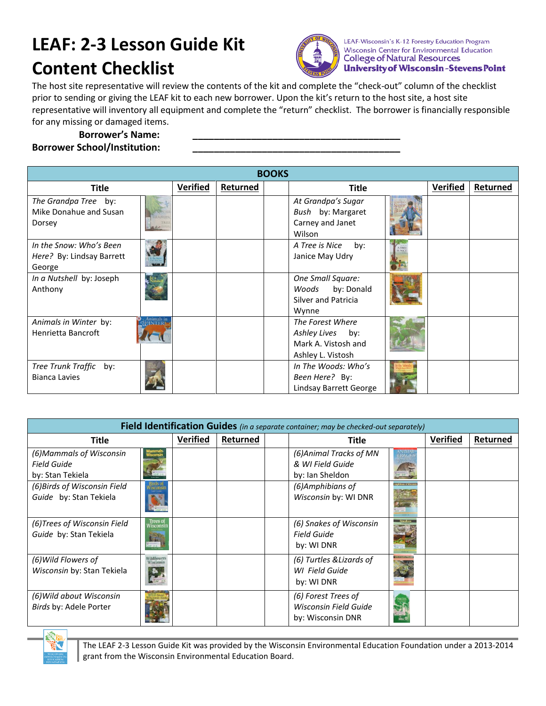## **LEAF: 2-3 Lesson Guide Kit Content Checklist**



LEAF-Wisconsin's K-12 Forestry Education Program Wisconsin Center for Environmental Education **College of Natural Resources University of Wisconsin-Stevens Point** 

The host site representative will review the contents of the kit and complete the "check-out" column of the checklist prior to sending or giving the LEAF kit to each new borrower. Upon the kit's return to the host site, a host site representative will inventory all equipment and complete the "return" checklist. The borrower is financially responsible for any missing or damaged items.

## **Borrower's Name: \_\_\_\_\_\_\_\_\_\_\_\_\_\_\_\_\_\_\_\_\_\_\_\_\_\_\_\_\_\_\_\_\_\_\_\_\_\_\_ Borrower School/Institution: \_\_\_\_\_\_\_\_\_\_\_\_\_\_\_\_\_\_\_\_\_\_\_\_\_\_\_\_\_\_\_\_\_\_\_\_\_\_\_**

| <b>BOOKS</b>                                                   |                             |                 |          |  |                                                                                     |  |                 |          |
|----------------------------------------------------------------|-----------------------------|-----------------|----------|--|-------------------------------------------------------------------------------------|--|-----------------|----------|
| <b>Title</b>                                                   |                             | <b>Verified</b> | Returned |  | <b>Title</b>                                                                        |  | <b>Verified</b> | Returned |
| The Grandpa Tree by:<br>Mike Donahue and Susan<br>Dorsey       |                             |                 |          |  | At Grandpa's Sugar<br>Bush by: Margaret<br>Carney and Janet<br>Wilson               |  |                 |          |
| In the Snow: Who's Been<br>Here? By: Lindsay Barrett<br>George |                             |                 |          |  | A Tree is Nice<br>by:<br>Janice May Udry                                            |  |                 |          |
| In a Nutshell by: Joseph<br>Anthony                            |                             |                 |          |  | One Small Square:<br>Woods by: Donald<br>Silver and Patricia<br>Wynne               |  |                 |          |
| Animals in Winter by:<br>Henrietta Bancroft                    | Animals in<br><b>INTERA</b> |                 |          |  | The Forest Where<br>Ashley Lives<br>by:<br>Mark A. Vistosh and<br>Ashley L. Vistosh |  |                 |          |
| Tree Trunk Traffic by:<br><b>Bianca Lavies</b>                 |                             |                 |          |  | In The Woods: Who's<br>Been Here? By:<br><b>Lindsay Barrett George</b>              |  |                 |          |

| Field Identification Guides (in a separate container; may be checked-out separately) |                          |                 |          |  |                                                                   |  |                 |          |
|--------------------------------------------------------------------------------------|--------------------------|-----------------|----------|--|-------------------------------------------------------------------|--|-----------------|----------|
| <b>Title</b>                                                                         |                          | <b>Verified</b> | Returned |  | <b>Title</b>                                                      |  | <b>Verified</b> | Returned |
| (6) Mammals of Wisconsin<br><b>Field Guide</b><br>by: Stan Tekiela                   |                          |                 |          |  | (6) Animal Tracks of MN<br>& WI Field Guide<br>by: Ian Sheldon    |  |                 |          |
| (6) Birds of Wisconsin Field<br>Guide by: Stan Tekiela                               | <b>ISCONSU</b>           |                 |          |  | (6) Amphibians of<br>Wisconsin by: WI DNR                         |  |                 |          |
| (6) Trees of Wisconsin Field<br>Guide by: Stan Tekiela                               | Trees of<br>Visconsir    |                 |          |  | (6) Snakes of Wisconsin<br><b>Field Guide</b><br>by: WI DNR       |  |                 |          |
| (6) Wild Flowers of<br>Wisconsin by: Stan Tekiela                                    | Wildflowers<br>Visconsin |                 |          |  | (6) Turtles & Lizards of<br>WI Field Guide<br>by: WI DNR          |  |                 |          |
| (6) Wild about Wisconsin<br>Birds by: Adele Porter                                   |                          |                 |          |  | (6) Forest Trees of<br>Wisconsin Field Guide<br>by: Wisconsin DNR |  |                 |          |



The LEAF 2-3 Lesson Guide Kit was provided by the Wisconsin Environmental Education Foundation under a 2013-2014 grant from the Wisconsin Environmental Education Board.